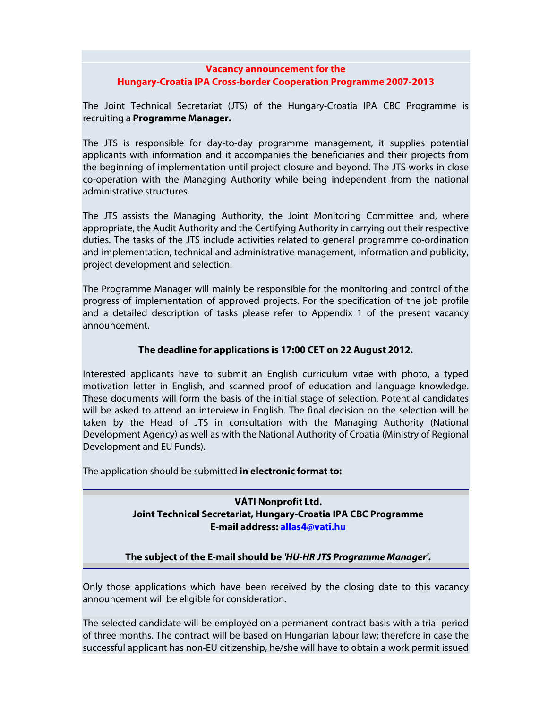## **Vacancy announcement for the Hungary-Croatia IPA Cross-border Cooperation Programme 2007-2013**

The Joint Technical Secretariat (JTS) of the Hungary-Croatia IPA CBC Programme is recruiting a **Programme Manager.** 

The JTS is responsible for day-to-day programme management, it supplies potential applicants with information and it accompanies the beneficiaries and their projects from the beginning of implementation until project closure and beyond. The JTS works in close co-operation with the Managing Authority while being independent from the national administrative structures.

The JTS assists the Managing Authority, the Joint Monitoring Committee and, where appropriate, the Audit Authority and the Certifying Authority in carrying out their respective duties. The tasks of the JTS include activities related to general programme co-ordination and implementation, technical and administrative management, information and publicity, project development and selection.

The Programme Manager will mainly be responsible for the monitoring and control of the progress of implementation of approved projects. For the specification of the job profile and a detailed description of tasks please refer to Appendix 1 of the present vacancy announcement.

## **The deadline for applications is 17:00 CET on 22 August 2012.**

Interested applicants have to submit an English curriculum vitae with photo, a typed motivation letter in English, and scanned proof of education and language knowledge. These documents will form the basis of the initial stage of selection. Potential candidates will be asked to attend an interview in English. The final decision on the selection will be taken by the Head of JTS in consultation with the Managing Authority (National Development Agency) as well as with the National Authority of Croatia (Ministry of Regional Development and EU Funds).

The application should be submitted **in electronic format to:**

## **VÁTI Nonprofit Ltd. Joint Technical Secretariat, Hungary-Croatia IPA CBC Programme E-mail address: allas4@vati.hu**

**The subject of the E-mail should be 'HU-HR JTS Programme Manager'.**

Only those applications which have been received by the closing date to this vacancy announcement will be eligible for consideration.

The selected candidate will be employed on a permanent contract basis with a trial period of three months. The contract will be based on Hungarian labour law; therefore in case the successful applicant has non-EU citizenship, he/she will have to obtain a work permit issued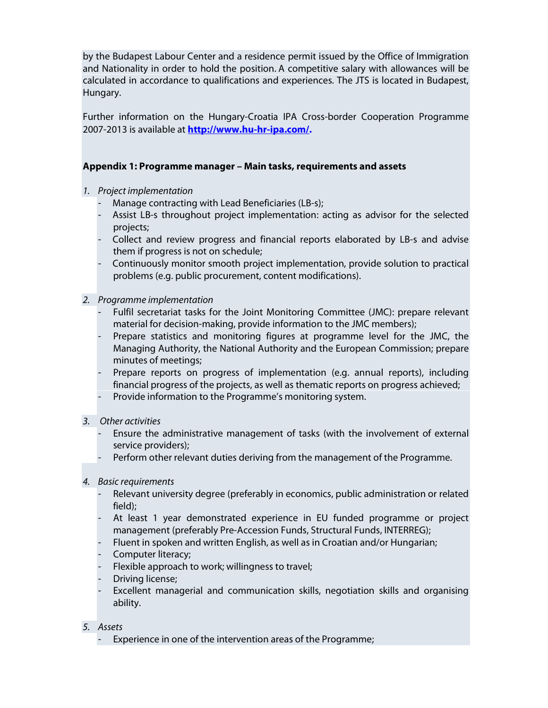by the Budapest Labour Center and a residence permit issued by the Office of Immigration and Nationality in order to hold the position. A competitive salary with allowances will be calculated in accordance to qualifications and experiences. The JTS is located in Budapest, Hungary.

Further information on the Hungary-Croatia IPA Cross-border Cooperation Programme 2007-2013 is available at **http://www.hu-hr-ipa.com/.**

## **Appendix 1: Programme manager – Main tasks, requirements and assets**

- 1. Project implementation
	- Manage contracting with Lead Beneficiaries (LB-s);
	- Assist LB-s throughout project implementation: acting as advisor for the selected projects;
	- Collect and review progress and financial reports elaborated by LB-s and advise them if progress is not on schedule;
	- Continuously monitor smooth project implementation, provide solution to practical problems (e.g. public procurement, content modifications).
- 2. Programme implementation
	- Fulfil secretariat tasks for the Joint Monitoring Committee (JMC): prepare relevant material for decision-making, provide information to the JMC members);
	- Prepare statistics and monitoring figures at programme level for the JMC, the Managing Authority, the National Authority and the European Commission; prepare minutes of meetings;
	- Prepare reports on progress of implementation (e.g. annual reports), including financial progress of the projects, as well as thematic reports on progress achieved;
	- Provide information to the Programme's monitoring system.
- 3. Other activities
	- Ensure the administrative management of tasks (with the involvement of external service providers);
	- Perform other relevant duties deriving from the management of the Programme.
- 4. Basic requirements
	- Relevant university degree (preferably in economics, public administration or related field);
	- At least 1 year demonstrated experience in EU funded programme or project management (preferably Pre-Accession Funds, Structural Funds, INTERREG);
	- Fluent in spoken and written English, as well as in Croatian and/or Hungarian;
	- Computer literacy;
	- Flexible approach to work; willingness to travel;
	- Driving license;
	- Excellent managerial and communication skills, negotiation skills and organising ability.
- 5. Assets
	- Experience in one of the intervention areas of the Programme;